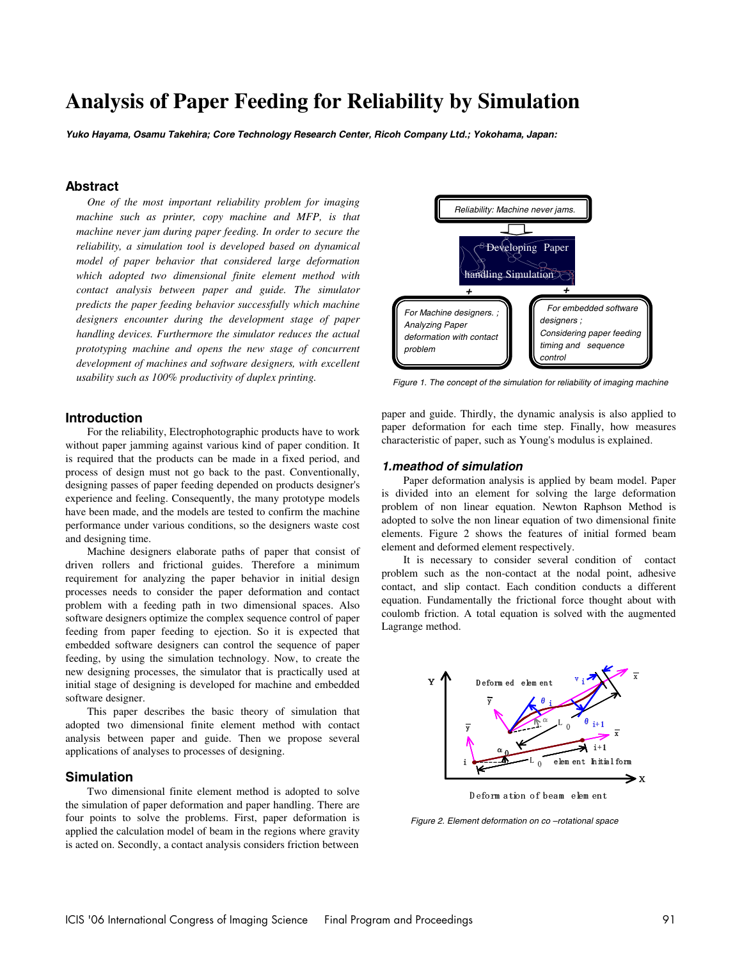# **Analysis of Paper Feeding for Reliability by Simulation**

**Yuko Hayama, Osamu Takehira; Core Technology Research Center, Ricoh Company Ltd.; Yokohama, Japan:** 

# **Abstract**

*One of the most important reliability problem for imaging machine such as printer, copy machine and MFP, is that machine never jam during paper feeding. In order to secure the reliability, a simulation tool is developed based on dynamical model of paper behavior that considered large deformation which adopted two dimensional finite element method with contact analysis between paper and guide. The simulator predicts the paper feeding behavior successfully which machine designers encounter during the development stage of paper handling devices. Furthermore the simulator reduces the actual prototyping machine and opens the new stage of concurrent development of machines and software designers, with excellent usability such as 100% productivity of duplex printing.* 



**Introduction** 

For the reliability, Electrophotographic products have to work without paper jamming against various kind of paper condition. It is required that the products can be made in a fixed period, and process of design must not go back to the past. Conventionally, designing passes of paper feeding depended on products designer's experience and feeling. Consequently, the many prototype models have been made, and the models are tested to confirm the machine performance under various conditions, so the designers waste cost and designing time.

Machine designers elaborate paths of paper that consist of driven rollers and frictional guides. Therefore a minimum requirement for analyzing the paper behavior in initial design processes needs to consider the paper deformation and contact problem with a feeding path in two dimensional spaces. Also software designers optimize the complex sequence control of paper feeding from paper feeding to ejection. So it is expected that embedded software designers can control the sequence of paper feeding, by using the simulation technology. Now, to create the new designing processes, the simulator that is practically used at initial stage of designing is developed for machine and embedded software designer.

This paper describes the basic theory of simulation that adopted two dimensional finite element method with contact analysis between paper and guide. Then we propose several applications of analyses to processes of designing.

## **Simulation**

Two dimensional finite element method is adopted to solve the simulation of paper deformation and paper handling. There are four points to solve the problems. First, paper deformation is applied the calculation model of beam in the regions where gravity is acted on. Secondly, a contact analysis considers friction between

paper and guide. Thirdly, the dynamic analysis is also applied to paper deformation for each time step. Finally, how measures

characteristic of paper, such as Young's modulus is explained.

## **1.meathod of simulation**

Paper deformation analysis is applied by beam model. Paper is divided into an element for solving the large deformation problem of non linear equation. Newton Raphson Method is adopted to solve the non linear equation of two dimensional finite elements. Figure 2 shows the features of initial formed beam element and deformed element respectively.

It is necessary to consider several condition of contact problem such as the non-contact at the nodal point, adhesive contact, and slip contact. Each condition conducts a different equation. Fundamentally the frictional force thought about with coulomb friction. A total equation is solved with the augmented Lagrange method.



Figure 2. Element deformation on co –rotational space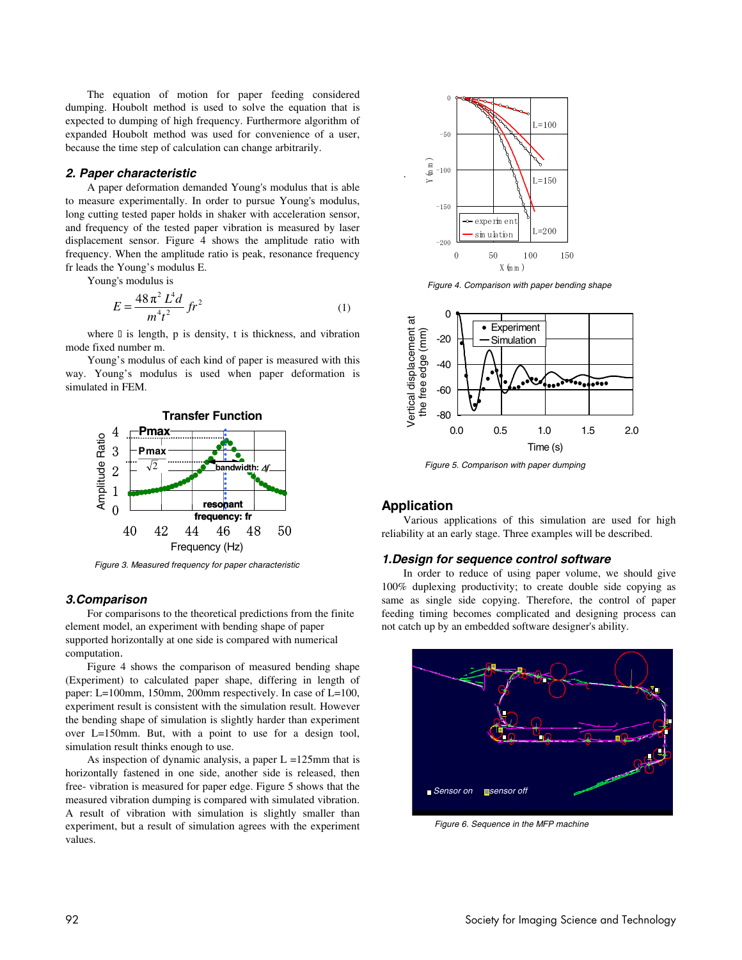The equation of motion for paper feeding considered dumping. Houbolt method is used to solve the equation that is expected to dumping of high frequency. Furthermore algorithm of expanded Houbolt method was used for convenience of a user, because the time step of calculation can change arbitrarily.

## **2. Paper characteristic**

A paper deformation demanded Young's modulus that is able to measure experimentally. In order to pursue Young's modulus, long cutting tested paper holds in shaker with acceleration sensor, and frequency of the tested paper vibration is measured by laser displacement sensor. Figure 4 shows the amplitude ratio with frequency. When the amplitude ratio is peak, resonance frequency fr leads the Young's modulus E.

Young's modulus is

$$
E = \frac{48\pi^2 L^4 d}{m^4 t^2} \, \text{fr}^2 \tag{1}
$$

where is length, p is density, t is thickness, and vibration mode fixed number m.

Young's modulus of each kind of paper is measured with this way. Young's modulus is used when paper deformation is simulated in FEM.



Figure 3. Measured frequency for paper characteristic

# **3.Comparison**

For comparisons to the theoretical predictions from the finite element model, an experiment with bending shape of paper supported horizontally at one side is compared with numerical computation.

Figure 4 shows the comparison of measured bending shape (Experiment) to calculated paper shape, differing in length of paper: L=100mm, 150mm, 200mm respectively. In case of L=100, experiment result is consistent with the simulation result. However the bending shape of simulation is slightly harder than experiment over L=150mm. But, with a point to use for a design tool, simulation result thinks enough to use.

As inspection of dynamic analysis, a paper  $L = 125$ mm that is horizontally fastened in one side, another side is released, then free- vibration is measured for paper edge. Figure 5 shows that the measured vibration dumping is compared with simulated vibration. A result of vibration with simulation is slightly smaller than experiment, but a result of simulation agrees with the experiment values.



Figure 4. Comparison with paper bending shape



Figure 5. Comparison with paper dumping

# **Application**

.

Various applications of this simulation are used for high reliability at an early stage. Three examples will be described.

#### **1.Design for sequence control software**

In order to reduce of using paper volume, we should give 100% duplexing productivity; to create double side copying as same as single side copying. Therefore, the control of paper feeding timing becomes complicated and designing process can not catch up by an embedded software designer's ability.



Figure 6. Sequence in the MFP machine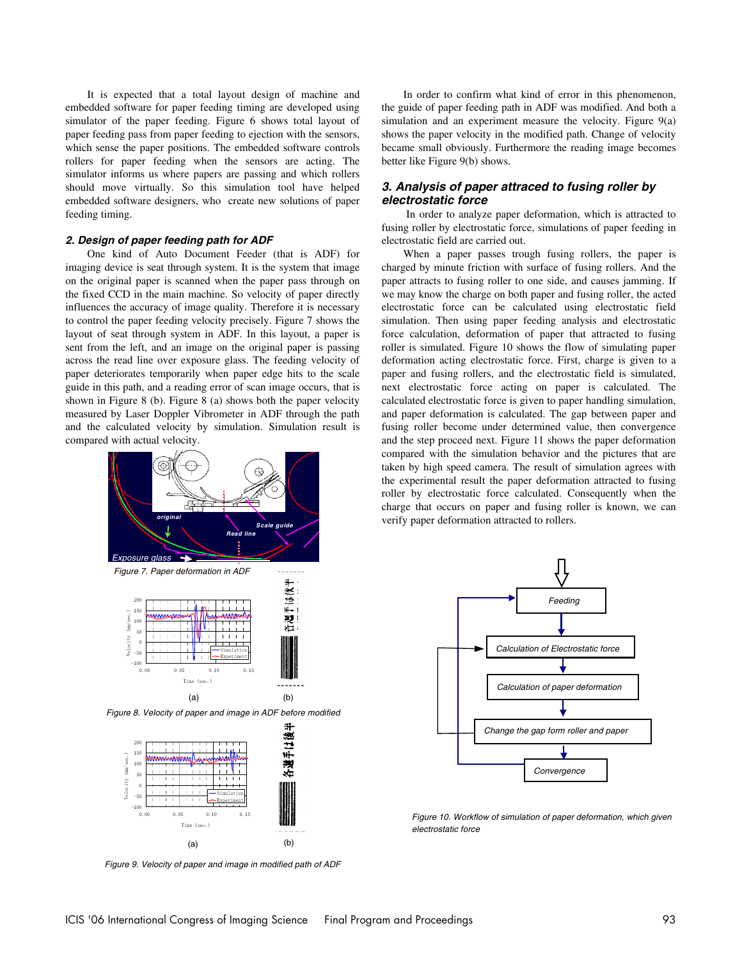It is expected that a total layout design of machine and embedded software for paper feeding timing are developed using simulator of the paper feeding. Figure 6 shows total layout of paper feeding pass from paper feeding to ejection with the sensors, which sense the paper positions. The embedded software controls rollers for paper feeding when the sensors are acting. The simulator informs us where papers are passing and which rollers should move virtually. So this simulation tool have helped embedded software designers, who create new solutions of paper feeding timing.

## **2. Design of paper feeding path for ADF**

One kind of Auto Document Feeder (that is ADF) for imaging device is seat through system. It is the system that image on the original paper is scanned when the paper pass through on the fixed CCD in the main machine. So velocity of paper directly influences the accuracy of image quality. Therefore it is necessary to control the paper feeding velocity precisely. Figure 7 shows the layout of seat through system in ADF. In this layout, a paper is sent from the left, and an image on the original paper is passing across the read line over exposure glass. The feeding velocity of paper deteriorates temporarily when paper edge hits to the scale guide in this path, and a reading error of scan image occurs, that is shown in Figure 8 (b). Figure 8 (a) shows both the paper velocity measured by Laser Doppler Vibrometer in ADF through the path and the calculated velocity by simulation. Simulation result is compared with actual velocity.



Figure 9. Velocity of paper and image in modified path of ADF

 $(a)$  (b)

 $Ti<sub>m</sub>$ 

In order to confirm what kind of error in this phenomenon, the guide of paper feeding path in ADF was modified. And both a simulation and an experiment measure the velocity. Figure 9(a) shows the paper velocity in the modified path. Change of velocity became small obviously. Furthermore the reading image becomes better like Figure 9(b) shows.

# **3. Analysis of paper attraced to fusing roller by electrostatic force**

 In order to analyze paper deformation, which is attracted to fusing roller by electrostatic force, simulations of paper feeding in electrostatic field are carried out.

When a paper passes trough fusing rollers, the paper is charged by minute friction with surface of fusing rollers. And the paper attracts to fusing roller to one side, and causes jamming. If we may know the charge on both paper and fusing roller, the acted electrostatic force can be calculated using electrostatic field simulation. Then using paper feeding analysis and electrostatic force calculation, deformation of paper that attracted to fusing roller is simulated. Figure 10 shows the flow of simulating paper deformation acting electrostatic force. First, charge is given to a paper and fusing rollers, and the electrostatic field is simulated, next electrostatic force acting on paper is calculated. The calculated electrostatic force is given to paper handling simulation, and paper deformation is calculated. The gap between paper and fusing roller become under determined value, then convergence and the step proceed next. Figure 11 shows the paper deformation compared with the simulation behavior and the pictures that are taken by high speed camera. The result of simulation agrees with the experimental result the paper deformation attracted to fusing roller by electrostatic force calculated. Consequently when the charge that occurs on paper and fusing roller is known, we can verify paper deformation attracted to rollers.



Figure 10. Workflow of simulation of paper deformation, which given electrostatic force